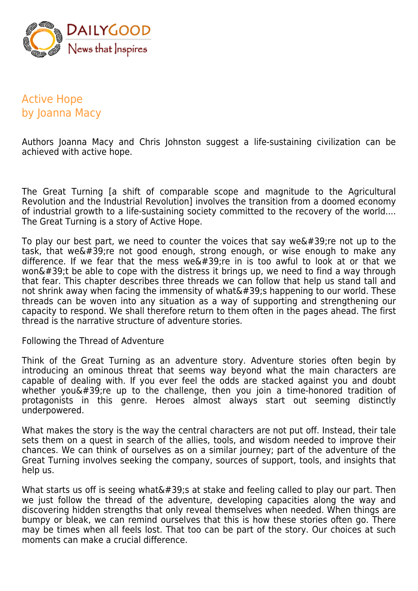

Active Hope by Joanna Macy

Authors Joanna Macy and Chris Johnston suggest a life-sustaining civilization can be achieved with active hope.

The Great Turning [a shift of comparable scope and magnitude to the Agricultural Revolution and the Industrial Revolution] involves the transition from a doomed economy of industrial growth to a life-sustaining society committed to the recovery of the world.... The Great Turning is a story of Active Hope.

To play our best part, we need to counter the voices that say we  $\&\#39$ ; re not up to the task, that we $\&\#39$ ; re not good enough, strong enough, or wise enough to make any difference. If we fear that the mess we  $\&\#39$ ; re in is too awful to look at or that we won $\&\#39$ ; t be able to cope with the distress it brings up, we need to find a way through that fear. This chapter describes three threads we can follow that help us stand tall and not shrink away when facing the immensity of what  $\&\#39$ ; happening to our world. These threads can be woven into any situation as a way of supporting and strengthening our capacity to respond. We shall therefore return to them often in the pages ahead. The first thread is the narrative structure of adventure stories.

## Following the Thread of Adventure

Think of the Great Turning as an adventure story. Adventure stories often begin by introducing an ominous threat that seems way beyond what the main characters are capable of dealing with. If you ever feel the odds are stacked against you and doubt whether you $\&\#39$ ; re up to the challenge, then you join a time-honored tradition of protagonists in this genre. Heroes almost always start out seeming distinctly underpowered.

What makes the story is the way the central characters are not put off. Instead, their tale sets them on a quest in search of the allies, tools, and wisdom needed to improve their chances. We can think of ourselves as on a similar journey; part of the adventure of the Great Turning involves seeking the company, sources of support, tools, and insights that help us.

What starts us off is seeing what  $\&\#39$ ; at stake and feeling called to play our part. Then we just follow the thread of the adventure, developing capacities along the way and discovering hidden strengths that only reveal themselves when needed. When things are bumpy or bleak, we can remind ourselves that this is how these stories often go. There may be times when all feels lost. That too can be part of the story. Our choices at such moments can make a crucial difference.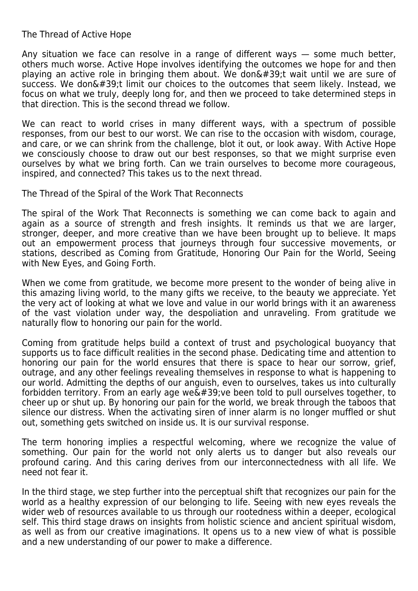The Thread of Active Hope

Any situation we face can resolve in a range of different ways — some much better, others much worse. Active Hope involves identifying the outcomes we hope for and then playing an active role in bringing them about. We don $\&\#39$ ;t wait until we are sure of success. We don't limit our choices to the outcomes that seem likely. Instead, we focus on what we truly, deeply long for, and then we proceed to take determined steps in that direction. This is the second thread we follow.

We can react to world crises in many different ways, with a spectrum of possible responses, from our best to our worst. We can rise to the occasion with wisdom, courage, and care, or we can shrink from the challenge, blot it out, or look away. With Active Hope we consciously choose to draw out our best responses, so that we might surprise even ourselves by what we bring forth. Can we train ourselves to become more courageous, inspired, and connected? This takes us to the next thread.

The Thread of the Spiral of the Work That Reconnects

The spiral of the Work That Reconnects is something we can come back to again and again as a source of strength and fresh insights. It reminds us that we are larger, stronger, deeper, and more creative than we have been brought up to believe. It maps out an empowerment process that journeys through four successive movements, or stations, described as Coming from Gratitude, Honoring Our Pain for the World, Seeing with New Eyes, and Going Forth.

When we come from gratitude, we become more present to the wonder of being alive in this amazing living world, to the many gifts we receive, to the beauty we appreciate. Yet the very act of looking at what we love and value in our world brings with it an awareness of the vast violation under way, the despoliation and unraveling. From gratitude we naturally flow to honoring our pain for the world.

Coming from gratitude helps build a context of trust and psychological buoyancy that supports us to face difficult realities in the second phase. Dedicating time and attention to honoring our pain for the world ensures that there is space to hear our sorrow, grief, outrage, and any other feelings revealing themselves in response to what is happening to our world. Admitting the depths of our anguish, even to ourselves, takes us into culturally forbidden territory. From an early age we  $\&\#39$ ; ve been told to pull ourselves together, to cheer up or shut up. By honoring our pain for the world, we break through the taboos that silence our distress. When the activating siren of inner alarm is no longer muffled or shut out, something gets switched on inside us. It is our survival response.

The term honoring implies a respectful welcoming, where we recognize the value of something. Our pain for the world not only alerts us to danger but also reveals our profound caring. And this caring derives from our interconnectedness with all life. We need not fear it.

In the third stage, we step further into the perceptual shift that recognizes our pain for the world as a healthy expression of our belonging to life. Seeing with new eyes reveals the wider web of resources available to us through our rootedness within a deeper, ecological self. This third stage draws on insights from holistic science and ancient spiritual wisdom, as well as from our creative imaginations. It opens us to a new view of what is possible and a new understanding of our power to make a difference.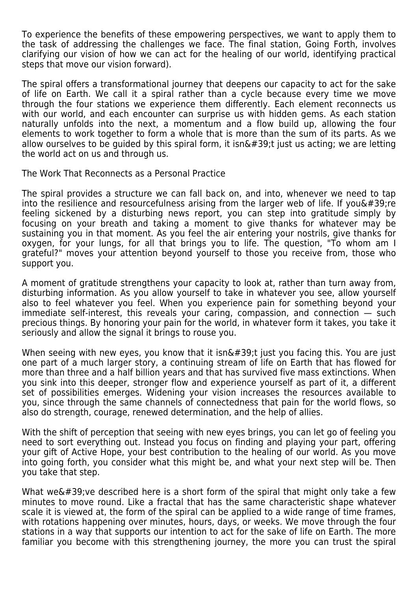To experience the benefits of these empowering perspectives, we want to apply them to the task of addressing the challenges we face. The final station, Going Forth, involves clarifying our vision of how we can act for the healing of our world, identifying practical steps that move our vision forward).

The spiral offers a transformational journey that deepens our capacity to act for the sake of life on Earth. We call it a spiral rather than a cycle because every time we move through the four stations we experience them differently. Each element reconnects us with our world, and each encounter can surprise us with hidden gems. As each station naturally unfolds into the next, a momentum and a flow build up, allowing the four elements to work together to form a whole that is more than the sum of its parts. As we allow ourselves to be quided by this spiral form, it isn $\&\#39$ :t just us acting; we are letting the world act on us and through us.

The Work That Reconnects as a Personal Practice

The spiral provides a structure we can fall back on, and into, whenever we need to tap into the resilience and resourcefulness arising from the larger web of life. If you  $\&\#39$ ; re feeling sickened by a disturbing news report, you can step into gratitude simply by focusing on your breath and taking a moment to give thanks for whatever may be sustaining you in that moment. As you feel the air entering your nostrils, give thanks for oxygen, for your lungs, for all that brings you to life. The question, "To whom am I grateful?" moves your attention beyond yourself to those you receive from, those who support you.

A moment of gratitude strengthens your capacity to look at, rather than turn away from, disturbing information. As you allow yourself to take in whatever you see, allow yourself also to feel whatever you feel. When you experience pain for something beyond your immediate self-interest, this reveals your caring, compassion, and connection — such precious things. By honoring your pain for the world, in whatever form it takes, you take it seriously and allow the signal it brings to rouse you.

When seeing with new eyes, you know that it isn $\&\#39$ ;t just you facing this. You are just one part of a much larger story, a continuing stream of life on Earth that has flowed for more than three and a half billion years and that has survived five mass extinctions. When you sink into this deeper, stronger flow and experience yourself as part of it, a different set of possibilities emerges. Widening your vision increases the resources available to you, since through the same channels of connectedness that pain for the world flows, so also do strength, courage, renewed determination, and the help of allies.

With the shift of perception that seeing with new eyes brings, you can let go of feeling you need to sort everything out. Instead you focus on finding and playing your part, offering your gift of Active Hope, your best contribution to the healing of our world. As you move into going forth, you consider what this might be, and what your next step will be. Then you take that step.

What we $&\#39$ ; ve described here is a short form of the spiral that might only take a few minutes to move round. Like a fractal that has the same characteristic shape whatever scale it is viewed at, the form of the spiral can be applied to a wide range of time frames, with rotations happening over minutes, hours, days, or weeks. We move through the four stations in a way that supports our intention to act for the sake of life on Earth. The more familiar you become with this strengthening journey, the more you can trust the spiral